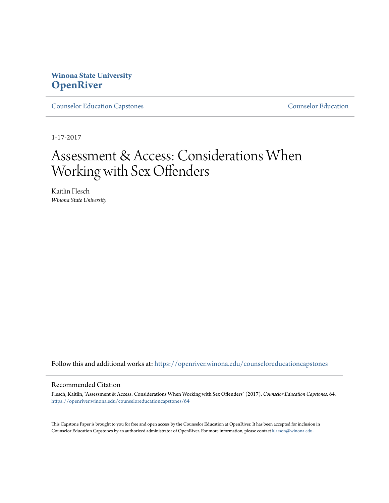## **Winona State University [OpenRiver](https://openriver.winona.edu?utm_source=openriver.winona.edu%2Fcounseloreducationcapstones%2F64&utm_medium=PDF&utm_campaign=PDFCoverPages)**

[Counselor Education Capstones](https://openriver.winona.edu/counseloreducationcapstones?utm_source=openriver.winona.edu%2Fcounseloreducationcapstones%2F64&utm_medium=PDF&utm_campaign=PDFCoverPages) [Counselor Education](https://openriver.winona.edu/counseloreducation?utm_source=openriver.winona.edu%2Fcounseloreducationcapstones%2F64&utm_medium=PDF&utm_campaign=PDFCoverPages)

1-17-2017

# Assessment & Access: Considerations When Working with Sex Offenders

Kaitlin Flesch *Winona State University*

Follow this and additional works at: [https://openriver.winona.edu/counseloreducationcapstones](https://openriver.winona.edu/counseloreducationcapstones?utm_source=openriver.winona.edu%2Fcounseloreducationcapstones%2F64&utm_medium=PDF&utm_campaign=PDFCoverPages)

## Recommended Citation

Flesch, Kaitlin, "Assessment & Access: Considerations When Working with Sex Offenders" (2017). *Counselor Education Capstones*. 64. [https://openriver.winona.edu/counseloreducationcapstones/64](https://openriver.winona.edu/counseloreducationcapstones/64?utm_source=openriver.winona.edu%2Fcounseloreducationcapstones%2F64&utm_medium=PDF&utm_campaign=PDFCoverPages)

This Capstone Paper is brought to you for free and open access by the Counselor Education at OpenRiver. It has been accepted for inclusion in Counselor Education Capstones by an authorized administrator of OpenRiver. For more information, please contact [klarson@winona.edu](mailto:klarson@winona.edu).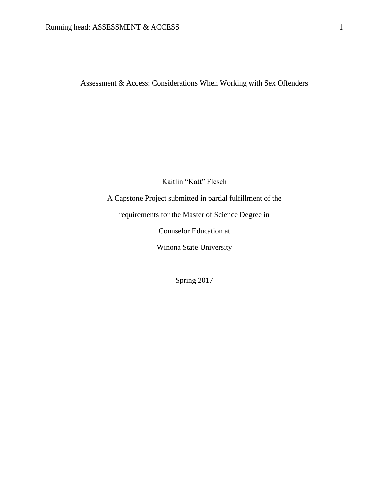Assessment & Access: Considerations When Working with Sex Offenders

Kaitlin "Katt" Flesch

A Capstone Project submitted in partial fulfillment of the

requirements for the Master of Science Degree in

Counselor Education at

Winona State University

Spring 2017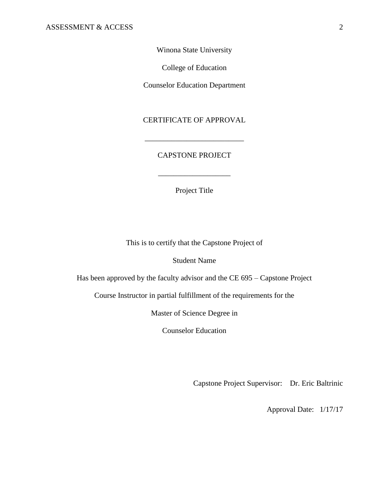Winona State University

College of Education

Counselor Education Department

CERTIFICATE OF APPROVAL

\_\_\_\_\_\_\_\_\_\_\_\_\_\_\_\_\_\_\_\_\_\_\_\_\_\_

## CAPSTONE PROJECT

Project Title

\_\_\_\_\_\_\_\_\_\_\_\_\_\_\_\_\_\_\_

This is to certify that the Capstone Project of

Student Name

Has been approved by the faculty advisor and the CE 695 – Capstone Project

Course Instructor in partial fulfillment of the requirements for the

Master of Science Degree in

Counselor Education

Capstone Project Supervisor: Dr. Eric Baltrinic

Approval Date: 1/17/17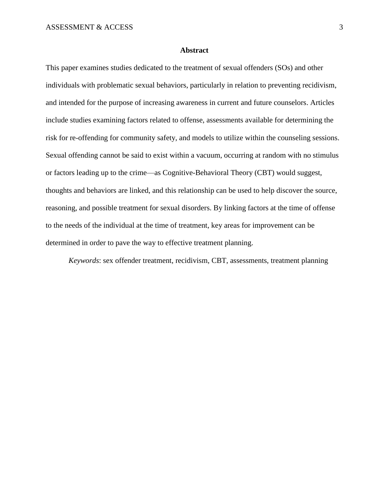## **Abstract**

This paper examines studies dedicated to the treatment of sexual offenders (SOs) and other individuals with problematic sexual behaviors, particularly in relation to preventing recidivism, and intended for the purpose of increasing awareness in current and future counselors. Articles include studies examining factors related to offense, assessments available for determining the risk for re-offending for community safety, and models to utilize within the counseling sessions. Sexual offending cannot be said to exist within a vacuum, occurring at random with no stimulus or factors leading up to the crime—as Cognitive-Behavioral Theory (CBT) would suggest, thoughts and behaviors are linked, and this relationship can be used to help discover the source, reasoning, and possible treatment for sexual disorders. By linking factors at the time of offense to the needs of the individual at the time of treatment, key areas for improvement can be determined in order to pave the way to effective treatment planning.

*Keywords*: sex offender treatment, recidivism, CBT, assessments, treatment planning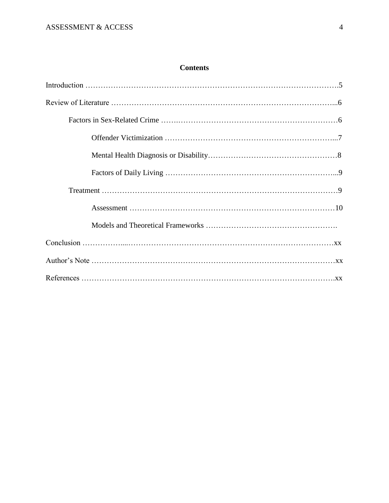## **Contents**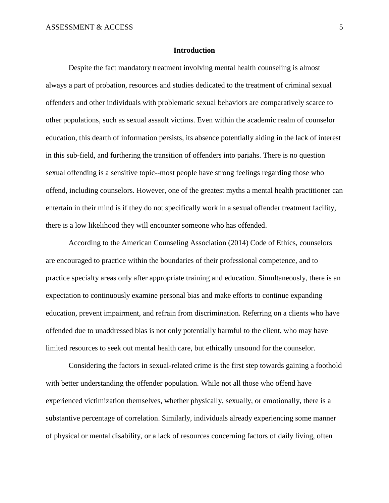## **Introduction**

Despite the fact mandatory treatment involving mental health counseling is almost always a part of probation, resources and studies dedicated to the treatment of criminal sexual offenders and other individuals with problematic sexual behaviors are comparatively scarce to other populations, such as sexual assault victims. Even within the academic realm of counselor education, this dearth of information persists, its absence potentially aiding in the lack of interest in this sub-field, and furthering the transition of offenders into pariahs. There is no question sexual offending is a sensitive topic--most people have strong feelings regarding those who offend, including counselors. However, one of the greatest myths a mental health practitioner can entertain in their mind is if they do not specifically work in a sexual offender treatment facility, there is a low likelihood they will encounter someone who has offended.

According to the American Counseling Association (2014) Code of Ethics, counselors are encouraged to practice within the boundaries of their professional competence, and to practice specialty areas only after appropriate training and education. Simultaneously, there is an expectation to continuously examine personal bias and make efforts to continue expanding education, prevent impairment, and refrain from discrimination. Referring on a clients who have offended due to unaddressed bias is not only potentially harmful to the client, who may have limited resources to seek out mental health care, but ethically unsound for the counselor.

Considering the factors in sexual-related crime is the first step towards gaining a foothold with better understanding the offender population. While not all those who offend have experienced victimization themselves, whether physically, sexually, or emotionally, there is a substantive percentage of correlation. Similarly, individuals already experiencing some manner of physical or mental disability, or a lack of resources concerning factors of daily living, often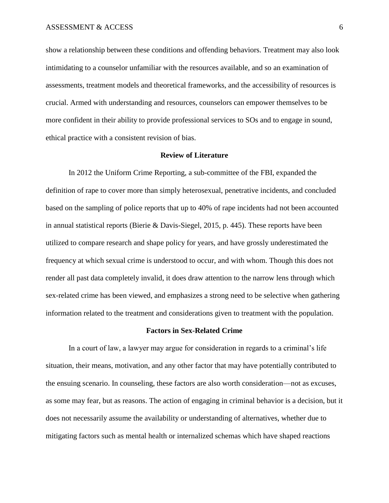show a relationship between these conditions and offending behaviors. Treatment may also look intimidating to a counselor unfamiliar with the resources available, and so an examination of assessments, treatment models and theoretical frameworks, and the accessibility of resources is crucial. Armed with understanding and resources, counselors can empower themselves to be more confident in their ability to provide professional services to SOs and to engage in sound, ethical practice with a consistent revision of bias.

## **Review of Literature**

In 2012 the Uniform Crime Reporting, a sub-committee of the FBI, expanded the definition of rape to cover more than simply heterosexual, penetrative incidents, and concluded based on the sampling of police reports that up to 40% of rape incidents had not been accounted in annual statistical reports (Bierie & Davis-Siegel, 2015, p. 445). These reports have been utilized to compare research and shape policy for years, and have grossly underestimated the frequency at which sexual crime is understood to occur, and with whom. Though this does not render all past data completely invalid, it does draw attention to the narrow lens through which sex-related crime has been viewed, and emphasizes a strong need to be selective when gathering information related to the treatment and considerations given to treatment with the population.

#### **Factors in Sex-Related Crime**

In a court of law, a lawyer may argue for consideration in regards to a criminal's life situation, their means, motivation, and any other factor that may have potentially contributed to the ensuing scenario. In counseling, these factors are also worth consideration—not as excuses, as some may fear, but as reasons. The action of engaging in criminal behavior is a decision, but it does not necessarily assume the availability or understanding of alternatives, whether due to mitigating factors such as mental health or internalized schemas which have shaped reactions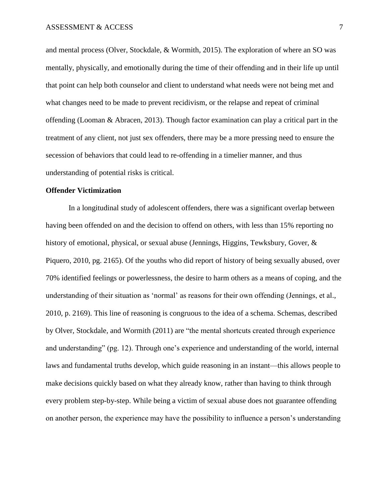and mental process (Olver, Stockdale, & Wormith, 2015). The exploration of where an SO was mentally, physically, and emotionally during the time of their offending and in their life up until that point can help both counselor and client to understand what needs were not being met and what changes need to be made to prevent recidivism, or the relapse and repeat of criminal offending (Looman & Abracen, 2013). Though factor examination can play a critical part in the treatment of any client, not just sex offenders, there may be a more pressing need to ensure the secession of behaviors that could lead to re-offending in a timelier manner, and thus understanding of potential risks is critical.

## **Offender Victimization**

In a longitudinal study of adolescent offenders, there was a significant overlap between having been offended on and the decision to offend on others, with less than 15% reporting no history of emotional, physical, or sexual abuse (Jennings, Higgins, Tewksbury, Gover, & Piquero, 2010, pg. 2165). Of the youths who did report of history of being sexually abused, over 70% identified feelings or powerlessness, the desire to harm others as a means of coping, and the understanding of their situation as 'normal' as reasons for their own offending (Jennings, et al., 2010, p. 2169). This line of reasoning is congruous to the idea of a schema. Schemas, described by Olver, Stockdale, and Wormith (2011) are "the mental shortcuts created through experience and understanding" (pg. 12). Through one's experience and understanding of the world, internal laws and fundamental truths develop, which guide reasoning in an instant—this allows people to make decisions quickly based on what they already know, rather than having to think through every problem step-by-step. While being a victim of sexual abuse does not guarantee offending on another person, the experience may have the possibility to influence a person's understanding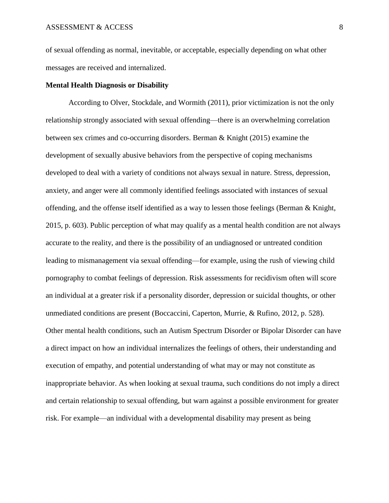of sexual offending as normal, inevitable, or acceptable, especially depending on what other messages are received and internalized.

## **Mental Health Diagnosis or Disability**

According to Olver, Stockdale, and Wormith (2011), prior victimization is not the only relationship strongly associated with sexual offending—there is an overwhelming correlation between sex crimes and co-occurring disorders. Berman & Knight (2015) examine the development of sexually abusive behaviors from the perspective of coping mechanisms developed to deal with a variety of conditions not always sexual in nature. Stress, depression, anxiety, and anger were all commonly identified feelings associated with instances of sexual offending, and the offense itself identified as a way to lessen those feelings (Berman & Knight, 2015, p. 603). Public perception of what may qualify as a mental health condition are not always accurate to the reality, and there is the possibility of an undiagnosed or untreated condition leading to mismanagement via sexual offending—for example, using the rush of viewing child pornography to combat feelings of depression. Risk assessments for recidivism often will score an individual at a greater risk if a personality disorder, depression or suicidal thoughts, or other unmediated conditions are present (Boccaccini, Caperton, Murrie, & Rufino, 2012, p. 528). Other mental health conditions, such an Autism Spectrum Disorder or Bipolar Disorder can have a direct impact on how an individual internalizes the feelings of others, their understanding and execution of empathy, and potential understanding of what may or may not constitute as inappropriate behavior. As when looking at sexual trauma, such conditions do not imply a direct and certain relationship to sexual offending, but warn against a possible environment for greater risk. For example—an individual with a developmental disability may present as being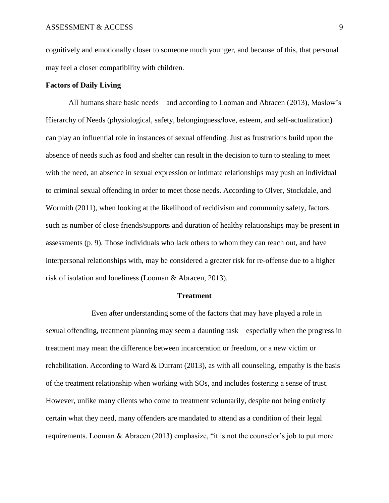cognitively and emotionally closer to someone much younger, and because of this, that personal may feel a closer compatibility with children.

## **Factors of Daily Living**

All humans share basic needs—and according to Looman and Abracen (2013), Maslow's Hierarchy of Needs (physiological, safety, belongingness/love, esteem, and self-actualization) can play an influential role in instances of sexual offending. Just as frustrations build upon the absence of needs such as food and shelter can result in the decision to turn to stealing to meet with the need, an absence in sexual expression or intimate relationships may push an individual to criminal sexual offending in order to meet those needs. According to Olver, Stockdale, and Wormith (2011), when looking at the likelihood of recidivism and community safety, factors such as number of close friends/supports and duration of healthy relationships may be present in assessments (p. 9). Those individuals who lack others to whom they can reach out, and have interpersonal relationships with, may be considered a greater risk for re-offense due to a higher risk of isolation and loneliness (Looman & Abracen, 2013).

## **Treatment**

Even after understanding some of the factors that may have played a role in sexual offending, treatment planning may seem a daunting task—especially when the progress in treatment may mean the difference between incarceration or freedom, or a new victim or rehabilitation. According to Ward & Durrant (2013), as with all counseling, empathy is the basis of the treatment relationship when working with SOs, and includes fostering a sense of trust. However, unlike many clients who come to treatment voluntarily, despite not being entirely certain what they need, many offenders are mandated to attend as a condition of their legal requirements. Looman & Abracen (2013) emphasize, "it is not the counselor's job to put more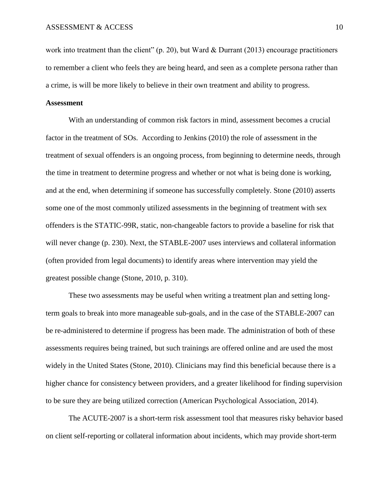work into treatment than the client" (p. 20), but Ward & Durrant (2013) encourage practitioners to remember a client who feels they are being heard, and seen as a complete persona rather than a crime, is will be more likely to believe in their own treatment and ability to progress.

## **Assessment**

With an understanding of common risk factors in mind, assessment becomes a crucial factor in the treatment of SOs. According to Jenkins (2010) the role of assessment in the treatment of sexual offenders is an ongoing process, from beginning to determine needs, through the time in treatment to determine progress and whether or not what is being done is working, and at the end, when determining if someone has successfully completely. Stone (2010) asserts some one of the most commonly utilized assessments in the beginning of treatment with sex offenders is the STATIC-99R, static, non-changeable factors to provide a baseline for risk that will never change (p. 230). Next, the STABLE-2007 uses interviews and collateral information (often provided from legal documents) to identify areas where intervention may yield the greatest possible change (Stone, 2010, p. 310).

These two assessments may be useful when writing a treatment plan and setting longterm goals to break into more manageable sub-goals, and in the case of the STABLE-2007 can be re-administered to determine if progress has been made. The administration of both of these assessments requires being trained, but such trainings are offered online and are used the most widely in the United States (Stone, 2010). Clinicians may find this beneficial because there is a higher chance for consistency between providers, and a greater likelihood for finding supervision to be sure they are being utilized correction (American Psychological Association, 2014).

The ACUTE-2007 is a short-term risk assessment tool that measures risky behavior based on client self-reporting or collateral information about incidents, which may provide short-term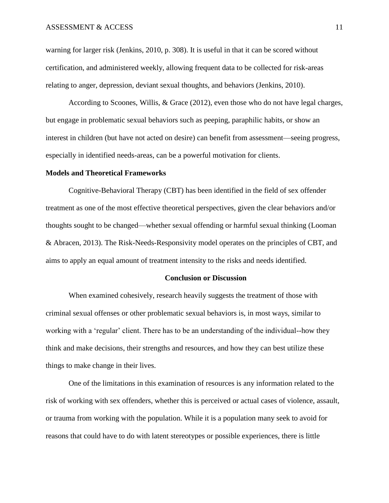warning for larger risk (Jenkins, 2010, p. 308). It is useful in that it can be scored without certification, and administered weekly, allowing frequent data to be collected for risk-areas relating to anger, depression, deviant sexual thoughts, and behaviors (Jenkins, 2010).

According to Scoones, Willis, & Grace (2012), even those who do not have legal charges, but engage in problematic sexual behaviors such as peeping, paraphilic habits, or show an interest in children (but have not acted on desire) can benefit from assessment—seeing progress, especially in identified needs-areas, can be a powerful motivation for clients.

#### **Models and Theoretical Frameworks**

Cognitive-Behavioral Therapy (CBT) has been identified in the field of sex offender treatment as one of the most effective theoretical perspectives, given the clear behaviors and/or thoughts sought to be changed—whether sexual offending or harmful sexual thinking (Looman & Abracen, 2013). The Risk-Needs-Responsivity model operates on the principles of CBT, and aims to apply an equal amount of treatment intensity to the risks and needs identified.

## **Conclusion or Discussion**

When examined cohesively, research heavily suggests the treatment of those with criminal sexual offenses or other problematic sexual behaviors is, in most ways, similar to working with a 'regular' client. There has to be an understanding of the individual--how they think and make decisions, their strengths and resources, and how they can best utilize these things to make change in their lives.

One of the limitations in this examination of resources is any information related to the risk of working with sex offenders, whether this is perceived or actual cases of violence, assault, or trauma from working with the population. While it is a population many seek to avoid for reasons that could have to do with latent stereotypes or possible experiences, there is little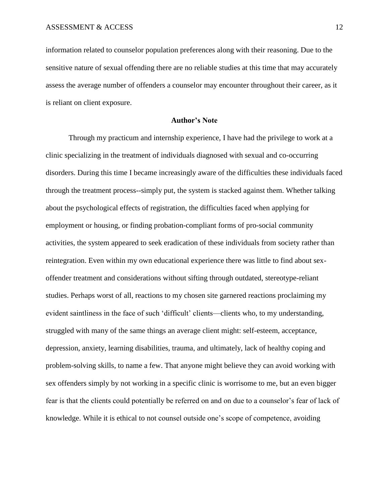information related to counselor population preferences along with their reasoning. Due to the sensitive nature of sexual offending there are no reliable studies at this time that may accurately assess the average number of offenders a counselor may encounter throughout their career, as it is reliant on client exposure.

## **Author's Note**

Through my practicum and internship experience, I have had the privilege to work at a clinic specializing in the treatment of individuals diagnosed with sexual and co-occurring disorders. During this time I became increasingly aware of the difficulties these individuals faced through the treatment process--simply put, the system is stacked against them. Whether talking about the psychological effects of registration, the difficulties faced when applying for employment or housing, or finding probation-compliant forms of pro-social community activities, the system appeared to seek eradication of these individuals from society rather than reintegration. Even within my own educational experience there was little to find about sexoffender treatment and considerations without sifting through outdated, stereotype-reliant studies. Perhaps worst of all, reactions to my chosen site garnered reactions proclaiming my evident saintliness in the face of such 'difficult' clients—clients who, to my understanding, struggled with many of the same things an average client might: self-esteem, acceptance, depression, anxiety, learning disabilities, trauma, and ultimately, lack of healthy coping and problem-solving skills, to name a few. That anyone might believe they can avoid working with sex offenders simply by not working in a specific clinic is worrisome to me, but an even bigger fear is that the clients could potentially be referred on and on due to a counselor's fear of lack of knowledge. While it is ethical to not counsel outside one's scope of competence, avoiding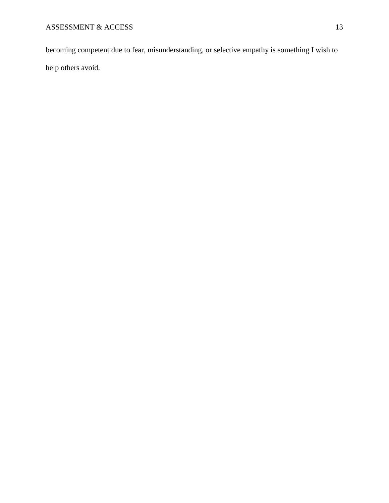becoming competent due to fear, misunderstanding, or selective empathy is something I wish to help others avoid.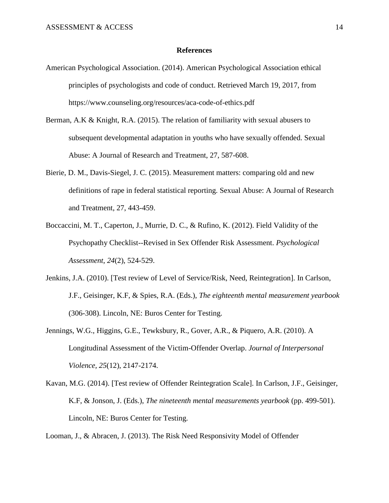## **References**

- American Psychological Association. (2014). American Psychological Association ethical principles of psychologists and code of conduct. Retrieved March 19, 2017, from https://www.counseling.org/resources/aca-code-of-ethics.pdf
- Berman, A.K & Knight, R.A. (2015). The relation of familiarity with sexual abusers to subsequent developmental adaptation in youths who have sexually offended. Sexual Abuse: A Journal of Research and Treatment, 27, 587-608.
- Bierie, D. M., Davis-Siegel, J. C. (2015). Measurement matters: comparing old and new definitions of rape in federal statistical reporting. Sexual Abuse: A Journal of Research and Treatment, 27, 443-459.
- Boccaccini, M. T., Caperton, J., Murrie, D. C., & Rufino, K. (2012). Field Validity of the Psychopathy Checklist--Revised in Sex Offender Risk Assessment. *Psychological Assessment*, *24*(2), 524-529.
- Jenkins, J.A. (2010). [Test review of Level of Service/Risk, Need, Reintegration]. In Carlson, J.F., Geisinger, K.F, & Spies, R.A. (Eds.), *The eighteenth mental measurement yearbook* (306-308). Lincoln, NE: Buros Center for Testing.
- Jennings, W.G., Higgins, G.E., Tewksbury, R., Gover, A.R., & Piquero, A.R. (2010). A Longitudinal Assessment of the Victim-Offender Overlap. *Journal of Interpersonal Violence, 25*(12), 2147-2174.
- Kavan, M.G. (2014). [Test review of Offender Reintegration Scale]. In Carlson, J.F., Geisinger, K.F, & Jonson, J. (Eds.), *The nineteenth mental measurements yearbook* (pp. 499-501). Lincoln, NE: Buros Center for Testing.

Looman, J., & Abracen, J. (2013). The Risk Need Responsivity Model of Offender